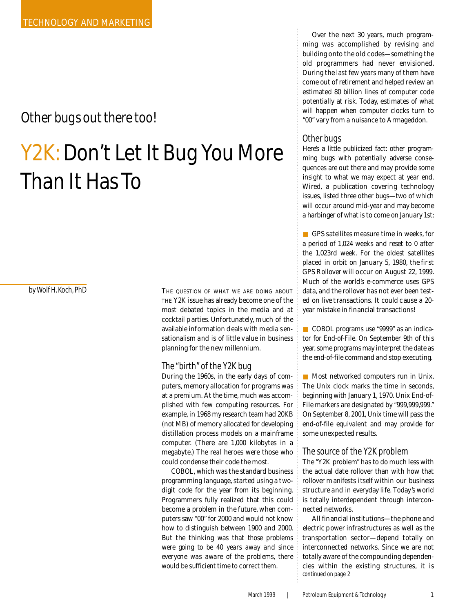# **Other bugs out there too!**

# Y2K: Don't Let It Bug You More Than It Has To

 $by$  *Wolf H. Koch, PhD* 

THE QUESTION OF WHAT WE ARE DOING ABOUT THE Y2K issue has already become one of the most debated topics in the media and at cocktail p arties. Unfortunately, much of the available information deals with media sensationalism and is of little value in business planning for the new millennium.

## The "birth" of the Y2K bug

During the 1960s, in the early days of computers, memory allocation for programs was at a premium. At the time, much was accomplished with few computing resources. For example, in 1968 my research team had 20KB (not MB) of memory allocated for developing distillation process models on a mainframe computer. (There are 1,000 kilobytes in a megabyte.) The *real* heroes were those who could condense their code the most.

COBOL, which was the standard business programming language, started using a twodigit code for the year from its beginning. Programmers fully realized that this could become a problem in the future, when computers saw "00" for 2000 and would not know how to distinguish between 1900 and 2000. But the thinking was that *those problems were going to be 40 years away and since everyone was aware of the problems, there would be sufficient time to correct them.*

Over the next 30 years, much programming was accomplished by revising and building onto the old codes—something the old programmers had never envisioned. During the last few years many of them have come out of retirement and helped review an estimated 80 billion lines of computer code potentially at risk. Today, estimates of what will happen when computer clocks turn to "00" vary from a nuisance to Armageddon.

# Other bugs

Here's a little publicized fact: other programming bugs with potentially adverse consequences are out there and may provide some insight to what we may expect at year end. *Wired*, a publication covering technology issues, listed three other bugs-two of which will occur around mid-year and may become a harbinger of what is to come on January 1st:

■ GPS satellites measure time in weeks, for a period of 1,024 weeks and reset to 0 after the 1,023rd week. For the oldest satellites placed in orbit on January 5, 1980, the first GPS Rollover will occur on August 22, 1999. Much of the world's e-commerce uses GPS data, and the rollover has not ever been tested on live transactions. It could cause a 20 year mistake in financial transactions!

■ COBOL programs use "9999" as an indicator for *End-of-File*. On September 9th of this year, some programs may interpret the date as the end-of-file command and stop executing.

■ Most networked computers run in Unix. The Unix clock marks the time in seconds, beginning with January 1, 1970. Unix End-of-File markers are designated by "999,999,999." On *September 8, 2001*, Unix time will pass the end-of-file equivalent and may provide for some unexpected results.

### The source of the Y2K problem

The "Y2K problem" has to do much less with the actual date rollover than with how that rollover manifests itself within our business structure and in everyday life. Today's world is totally interdependent through interconnected networks.

All financial institutions—the phone and electric power infrastructures as well as the transportation sector — depend totally on interconnected networks. Since we are not totally aware of the compounding dependencies within the existing structures, it is continued on page 2